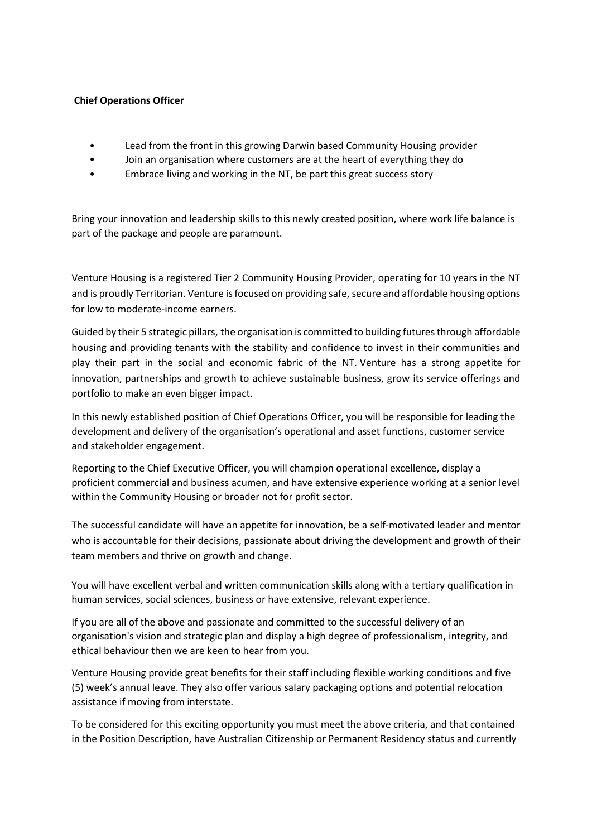## **Chief Operations Officer**

- Lead from the front in this growing Darwin based Community Housing provider
- Join an organisation where customers are at the heart of everything they do
- Embrace living and working in the NT, be part this great success story

Bring your innovation and leadership skills to this newly created position, where work life balance is part of the package and people are paramount.

Venture Housing is a registered Tier 2 Community Housing Provider, operating for 10 years in the NT and is proudly Territorian. Venture is focused on providing safe, secure and affordable housing options for low to moderate-income earners.

Guided by their 5 strategic pillars, the organisation is committed to building futures through affordable housing and providing tenants with the stability and confidence to invest in their communities and play their part in the social and economic fabric of the NT. Venture has a strong appetite for innovation, partnerships and growth to achieve sustainable business, grow its service offerings and portfolio to make an even bigger impact.

In this newly established position of Chief Operations Officer, you will be responsible for leading the development and delivery of the organisation's operational and asset functions, customer service and stakeholder engagement.

Reporting to the Chief Executive Officer, you will champion operational excellence, display a proficient commercial and business acumen, and have extensive experience working at a senior level within the Community Housing or broader not for profit sector.

The successful candidate will have an appetite for innovation, be a self-motivated leader and mentor who is accountable for their decisions, passionate about driving the development and growth of their team members and thrive on growth and change.

You will have excellent verbal and written communication skills along with a tertiary qualification in human services, social sciences, business or have extensive, relevant experience.

If you are all of the above and passionate and committed to the successful delivery of an organisation's vision and strategic plan and display a high degree of professionalism, integrity, and ethical behaviour then we are keen to hear from you.

Venture Housing provide great benefits for their staff including flexible working conditions and five (5) week's annual leave. They also offer various salary packaging options and potential relocation assistance if moving from interstate.

To be considered for this exciting opportunity you must meet the above criteria, and that contained in the Position Description, have Australian Citizenship or Permanent Residency status and currently